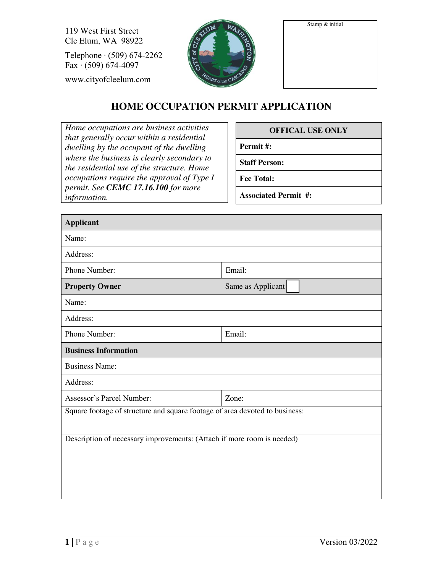Stamp & initial

119 West First Street Cle Elum, WA 98922

Telephone ∙ (509) 674-2262 Fax ∙ (509) 674-4097

www.cityofcleelum.com



## **HOME OCCUPATION PERMIT APPLICATION**

*Home occupations are business activities that generally occur within a residential dwelling by the occupant of the dwelling where the business is clearly secondary to the residential use of the structure. Home occupations require the approval of Type I permit. See CEMC 17.16.100 for more information.* 

## **OFFICAL USE ONLY Permit #: Staff Person: Fee Total: Associated Permit #:**

| <b>Applicant</b>                                                            |                   |  |  |
|-----------------------------------------------------------------------------|-------------------|--|--|
| Name:                                                                       |                   |  |  |
| Address:                                                                    |                   |  |  |
| Phone Number:                                                               | Email:            |  |  |
| <b>Property Owner</b>                                                       | Same as Applicant |  |  |
| Name:                                                                       |                   |  |  |
| Address:                                                                    |                   |  |  |
| Phone Number:                                                               | Email:            |  |  |
| <b>Business Information</b>                                                 |                   |  |  |
| <b>Business Name:</b>                                                       |                   |  |  |
| Address:                                                                    |                   |  |  |
| Assessor's Parcel Number:                                                   | Zone:             |  |  |
| Square footage of structure and square footage of area devoted to business: |                   |  |  |
|                                                                             |                   |  |  |
| Description of necessary improvements: (Attach if more room is needed)      |                   |  |  |
|                                                                             |                   |  |  |
|                                                                             |                   |  |  |
|                                                                             |                   |  |  |